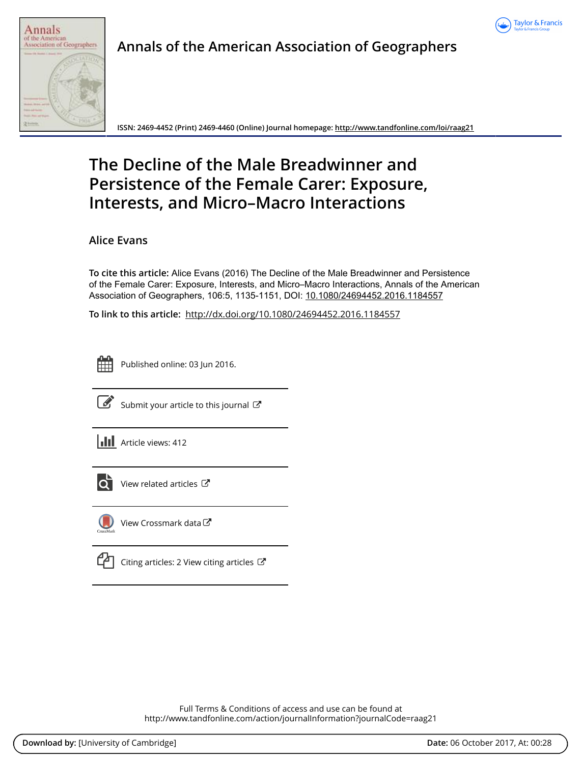



**Annals of the American Association of Geographers**

**ISSN: 2469-4452 (Print) 2469-4460 (Online) Journal homepage:<http://www.tandfonline.com/loi/raag21>**

## **The Decline of the Male Breadwinner and Persistence of the Female Carer: Exposure, Interests, and Micro–Macro Interactions**

**Alice Evans**

**To cite this article:** Alice Evans (2016) The Decline of the Male Breadwinner and Persistence of the Female Carer: Exposure, Interests, and Micro–Macro Interactions, Annals of the American Association of Geographers, 106:5, 1135-1151, DOI: [10.1080/24694452.2016.1184557](http://www.tandfonline.com/action/showCitFormats?doi=10.1080/24694452.2016.1184557)

**To link to this article:** <http://dx.doi.org/10.1080/24694452.2016.1184557>



Published online: 03 Jun 2016.



 $\overline{\mathscr{L}}$  [Submit your article to this journal](http://www.tandfonline.com/action/authorSubmission?journalCode=raag21&show=instructions)  $\mathbb{Z}$ 





 $\overline{Q}$  [View related articles](http://www.tandfonline.com/doi/mlt/10.1080/24694452.2016.1184557)  $\overline{C}$ 



[View Crossmark data](http://crossmark.crossref.org/dialog/?doi=10.1080/24694452.2016.1184557&domain=pdf&date_stamp=2016-06-03)

 $\Box$  [Citing articles: 2 View citing articles](http://www.tandfonline.com/doi/citedby/10.1080/24694452.2016.1184557#tabModule)  $\Box$ 

Full Terms & Conditions of access and use can be found at <http://www.tandfonline.com/action/journalInformation?journalCode=raag21>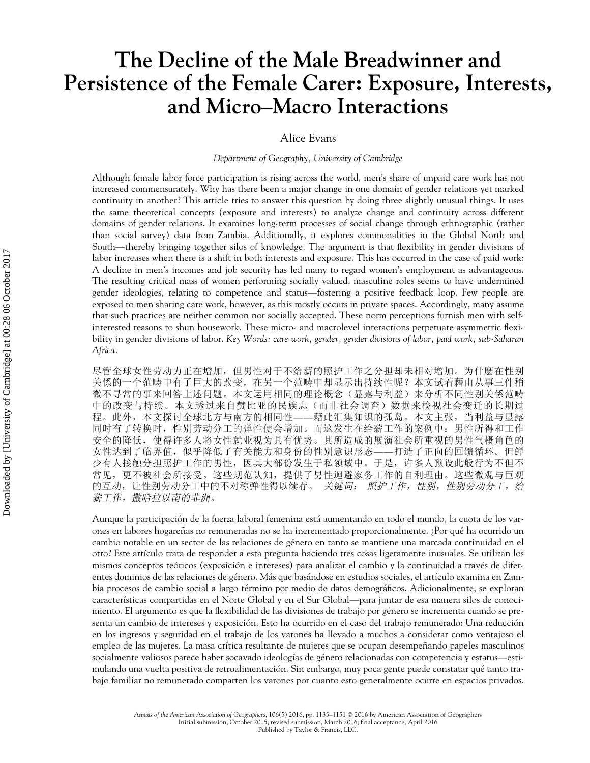# The Decline of the Male Breadwinner and Persistence of the Female Carer: Exposure, Interests, and Micro–Macro Interactions

Alice Evans

Department of Geography, University of Cambridge

Although female labor force participation is rising across the world, men's share of unpaid care work has not increased commensurately. Why has there been a major change in one domain of gender relations yet marked continuity in another? This article tries to answer this question by doing three slightly unusual things. It uses the same theoretical concepts (exposure and interests) to analyze change and continuity across different domains of gender relations. It examines long-term processes of social change through ethnographic (rather than social survey) data from Zambia. Additionally, it explores commonalities in the Global North and South—thereby bringing together silos of knowledge. The argument is that flexibility in gender divisions of labor increases when there is a shift in both interests and exposure. This has occurred in the case of paid work: A decline in men's incomes and job security has led many to regard women's employment as advantageous. The resulting critical mass of women performing socially valued, masculine roles seems to have undermined gender ideologies, relating to competence and status—fostering a positive feedback loop. Few people are exposed to men sharing care work, however, as this mostly occurs in private spaces. Accordingly, many assume that such practices are neither common nor socially accepted. These norm perceptions furnish men with selfinterested reasons to shun housework. These micro- and macrolevel interactions perpetuate asymmetric flexibility in gender divisions of labor. Key Words: care work, gender, gender divisions of labor, paid work, sub-Saharan Africa.

尽管全球女性劳动力正在增加,但男性对于不给薪的照护工作之分担却未相对增加。为什麽在性别 关係的一个范畴中有了巨大的改变,在另一个范畴中却显示出持续性呢?本文试着藉由从事三件稍 微不寻常的事来回答上述问题。本文运用相同的理论概念(显露与利益)来分析不同性别关係范畴 中的改变与持续。本文透过来自赞比亚的民族志(而非社会调查)数据来检视社会变迁的长期过 程。此外,本文探讨全球北方与南方的相同性——藉此汇集知识的孤岛。本文主张,当利益与显露 同时有了转换时,性别劳动分工的弹性便会增加。而这发生在给薪工作的案例中:男性所得和工作 安全的降低,使得许多人将女性就业视为具有优势。其所造成的展演社会所重视的男性气概角色的 女性达到了临界值,似乎降低了有关能力和身份的性别意识形态——打造了正向的回馈循环。但鲜 少有人接触分担照护工作的男性,因其大部份发生于私领域中。于是,许多人预设此般行为不但不 常见,更不被社会所接受。这些规范认知,提供了男性迴避家务工作的自利理由。这些微观与巨观 的互动,让性别劳动分工中的不对称弹性得以续存。 关键词: 照护工作,性别,性别劳动分工,给 薪工作,撒哈拉以南的非洲。

Aunque la participacion de la fuerza laboral femenina esta aumentando en todo el mundo, la cuota de los varones en labores hogareñas no remuneradas no se ha incrementado proporcionalmente. ¿Por qué ha ocurrido un cambio notable en un sector de las relaciones de genero en tanto se mantiene una marcada continuidad en el otro? Este artıculo trata de responder a esta pregunta haciendo tres cosas ligeramente inusuales. Se utilizan los mismos conceptos teóricos (exposición e intereses) para analizar el cambio y la continuidad a través de diferentes dominios de las relaciones de genero. Mas que basandose en estudios sociales, el artıculo examina en Zambia procesos de cambio social a largo termino por medio de datos demograficos. Adicionalmente, se exploran características compartidas en el Norte Global y en el Sur Global—para juntar de esa manera silos de conocimiento. El argumento es que la flexibilidad de las divisiones de trabajo por genero se incrementa cuando se presenta un cambio de intereses y exposicion. Esto ha ocurrido en el caso del trabajo remunerado: Una reduccion en los ingresos y seguridad en el trabajo de los varones ha llevado a muchos a considerar como ventajoso el empleo de las mujeres. La masa crítica resultante de mujeres que se ocupan desempeñando papeles masculinos socialmente valiosos parece haber socavado ideologías de género relacionadas con competencia y estatus—estimulando una vuelta positiva de retroalimentacion. Sin embargo, muy poca gente puede constatar que tanto trabajo familiar no remunerado comparten los varones por cuanto esto generalmente ocurre en espacios privados.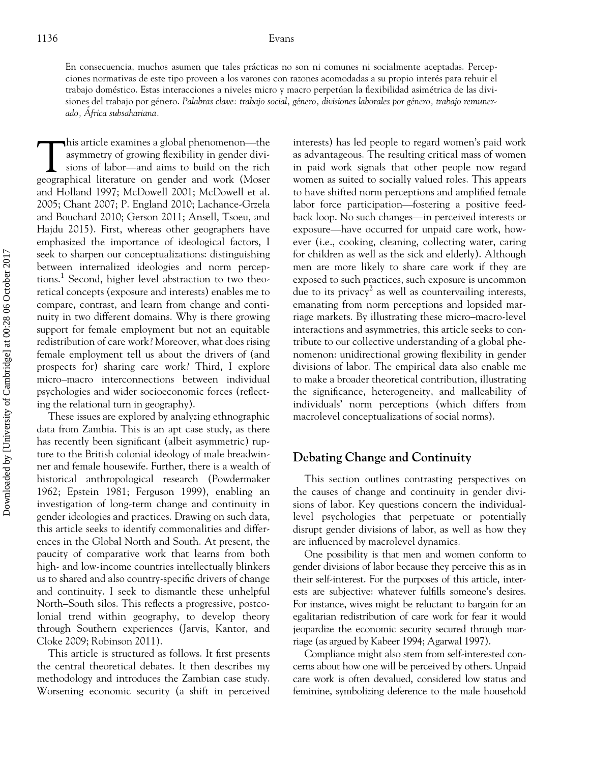#### 1136 Evans

En consecuencia, muchos asumen que tales practicas no son ni comunes ni socialmente aceptadas. Percepciones normativas de este tipo proveen a los varones con razones acomodadas a su propio interes para rehuir el trabajo domestico. Estas interacciones a niveles micro y macro perpetuan la flexibilidad asimetrica de las divisiones del trabajo por género. Palabras clave: trabajo social, género, divisiones laborales por género, trabajo remunerado, Africa subsahariana.

This article examines a global phenomenon—the<br>asymmetry of growing flexibility in gender divi-<br>sions of labor—and aims to build on the rich<br>geographical literature on gender and work (Moser asymmetry of growing flexibility in gender divisions of labor—and aims to build on the rich geographical literature on gender and work (Moser and Holland 1997; McDowell 2001; McDowell et al. 2005; Chant 2007; P. England 2010; Lachance-Grzela and Bouchard 2010; Gerson 2011; Ansell, Tsoeu, and Hajdu 2015). First, whereas other geographers have emphasized the importance of ideological factors, I seek to sharpen our conceptualizations: distinguishing between internalized ideologies and norm perceptions.<sup>1</sup> Second, higher level abstraction to two theoretical concepts (exposure and interests) enables me to compare, contrast, and learn from change and continuity in two different domains. Why is there growing support for female employment but not an equitable redistribution of care work? Moreover, what does rising female employment tell us about the drivers of (and prospects for) sharing care work? Third, I explore micro–macro interconnections between individual psychologies and wider socioeconomic forces (reflecting the relational turn in geography).

These issues are explored by analyzing ethnographic data from Zambia. This is an apt case study, as there has recently been significant (albeit asymmetric) rupture to the British colonial ideology of male breadwinner and female housewife. Further, there is a wealth of historical anthropological research (Powdermaker 1962; Epstein 1981; Ferguson 1999), enabling an investigation of long-term change and continuity in gender ideologies and practices. Drawing on such data, this article seeks to identify commonalities and differences in the Global North and South. At present, the paucity of comparative work that learns from both high- and low-income countries intellectually blinkers us to shared and also country-specific drivers of change and continuity. I seek to dismantle these unhelpful North–South silos. This reflects a progressive, postcolonial trend within geography, to develop theory through Southern experiences (Jarvis, Kantor, and Cloke 2009; Robinson 2011).

This article is structured as follows. It first presents the central theoretical debates. It then describes my methodology and introduces the Zambian case study. Worsening economic security (a shift in perceived interests) has led people to regard women's paid work as advantageous. The resulting critical mass of women in paid work signals that other people now regard women as suited to socially valued roles. This appears to have shifted norm perceptions and amplified female labor force participation—fostering a positive feedback loop. No such changes—in perceived interests or exposure—have occurred for unpaid care work, however (i.e., cooking, cleaning, collecting water, caring for children as well as the sick and elderly). Although men are more likely to share care work if they are exposed to such practices, such exposure is uncommon due to its privacy<sup>2</sup> as well as countervailing interests, emanating from norm perceptions and lopsided marriage markets. By illustrating these micro–macro-level interactions and asymmetries, this article seeks to contribute to our collective understanding of a global phenomenon: unidirectional growing flexibility in gender divisions of labor. The empirical data also enable me to make a broader theoretical contribution, illustrating the significance, heterogeneity, and malleability of individuals' norm perceptions (which differs from macrolevel conceptualizations of social norms).

#### Debating Change and Continuity

This section outlines contrasting perspectives on the causes of change and continuity in gender divisions of labor. Key questions concern the individuallevel psychologies that perpetuate or potentially disrupt gender divisions of labor, as well as how they are influenced by macrolevel dynamics.

One possibility is that men and women conform to gender divisions of labor because they perceive this as in their self-interest. For the purposes of this article, interests are subjective: whatever fulfills someone's desires. For instance, wives might be reluctant to bargain for an egalitarian redistribution of care work for fear it would jeopardize the economic security secured through marriage (as argued by Kabeer 1994; Agarwal 1997).

Compliance might also stem from self-interested concerns about how one will be perceived by others. Unpaid care work is often devalued, considered low status and feminine, symbolizing deference to the male household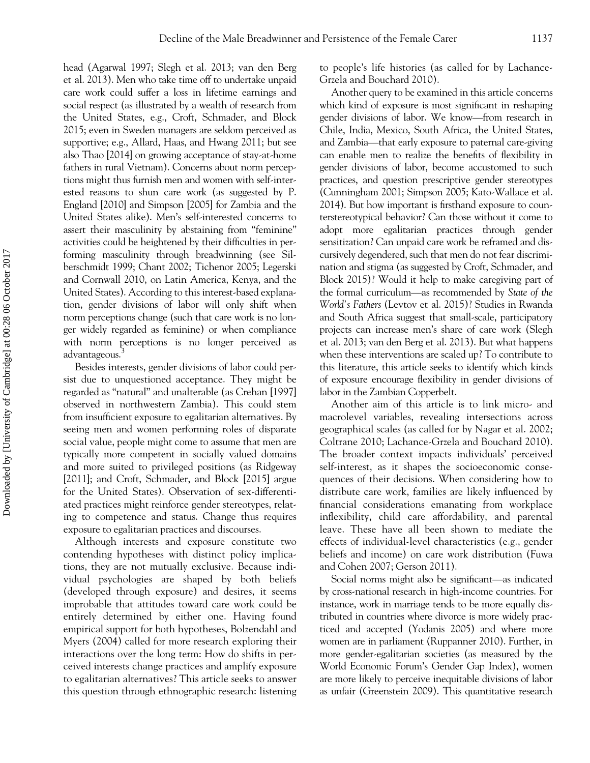head (Agarwal 1997; Slegh et al. 2013; van den Berg et al. 2013). Men who take time off to undertake unpaid care work could suffer a loss in lifetime earnings and social respect (as illustrated by a wealth of research from the United States, e.g., Croft, Schmader, and Block 2015; even in Sweden managers are seldom perceived as supportive; e.g., Allard, Haas, and Hwang 2011; but see also Thao [2014] on growing acceptance of stay-at-home fathers in rural Vietnam). Concerns about norm perceptions might thus furnish men and women with self-interested reasons to shun care work (as suggested by P. England [2010] and Simpson [2005] for Zambia and the United States alike). Men's self-interested concerns to assert their masculinity by abstaining from "feminine" activities could be heightened by their difficulties in performing masculinity through breadwinning (see Silberschmidt 1999; Chant 2002; Tichenor 2005; Legerski and Cornwall 2010, on Latin America, Kenya, and the United States). According to this interest-based explanation, gender divisions of labor will only shift when norm perceptions change (such that care work is no longer widely regarded as feminine) or when compliance with norm perceptions is no longer perceived as advantageous.<sup>3</sup>

Besides interests, gender divisions of labor could persist due to unquestioned acceptance. They might be regarded as "natural" and unalterable (as Crehan [1997] observed in northwestern Zambia). This could stem from insufficient exposure to egalitarian alternatives. By seeing men and women performing roles of disparate social value, people might come to assume that men are typically more competent in socially valued domains and more suited to privileged positions (as Ridgeway [2011]; and Croft, Schmader, and Block [2015] argue for the United States). Observation of sex-differentiated practices might reinforce gender stereotypes, relating to competence and status. Change thus requires exposure to egalitarian practices and discourses.

Although interests and exposure constitute two contending hypotheses with distinct policy implications, they are not mutually exclusive. Because individual psychologies are shaped by both beliefs (developed through exposure) and desires, it seems improbable that attitudes toward care work could be entirely determined by either one. Having found empirical support for both hypotheses, Bolzendahl and Myers (2004) called for more research exploring their interactions over the long term: How do shifts in perceived interests change practices and amplify exposure to egalitarian alternatives? This article seeks to answer this question through ethnographic research: listening to people's life histories (as called for by Lachance-Grzela and Bouchard 2010).

Another query to be examined in this article concerns which kind of exposure is most significant in reshaping gender divisions of labor. We know—from research in Chile, India, Mexico, South Africa, the United States, and Zambia—that early exposure to paternal care-giving can enable men to realize the benefits of flexibility in gender divisions of labor, become accustomed to such practices, and question prescriptive gender stereotypes (Cunningham 2001; Simpson 2005; Kato-Wallace et al. 2014). But how important is firsthand exposure to counterstereotypical behavior? Can those without it come to adopt more egalitarian practices through gender sensitization? Can unpaid care work be reframed and discursively degendered, such that men do not fear discrimination and stigma (as suggested by Croft, Schmader, and Block 2015)? Would it help to make caregiving part of the formal curriculum—as recommended by State of the World's Fathers (Levtov et al. 2015)? Studies in Rwanda and South Africa suggest that small-scale, participatory projects can increase men's share of care work (Slegh et al. 2013; van den Berg et al. 2013). But what happens when these interventions are scaled up? To contribute to this literature, this article seeks to identify which kinds of exposure encourage flexibility in gender divisions of labor in the Zambian Copperbelt.

Another aim of this article is to link micro- and macrolevel variables, revealing intersections across geographical scales (as called for by Nagar et al. 2002; Coltrane 2010; Lachance-Grzela and Bouchard 2010). The broader context impacts individuals' perceived self-interest, as it shapes the socioeconomic consequences of their decisions. When considering how to distribute care work, families are likely influenced by financial considerations emanating from workplace inflexibility, child care affordability, and parental leave. These have all been shown to mediate the effects of individual-level characteristics (e.g., gender beliefs and income) on care work distribution (Fuwa and Cohen 2007; Gerson 2011).

Social norms might also be significant—as indicated by cross-national research in high-income countries. For instance, work in marriage tends to be more equally distributed in countries where divorce is more widely practiced and accepted (Yodanis 2005) and where more women are in parliament (Ruppanner 2010). Further, in more gender-egalitarian societies (as measured by the World Economic Forum's Gender Gap Index), women are more likely to perceive inequitable divisions of labor as unfair (Greenstein 2009). This quantitative research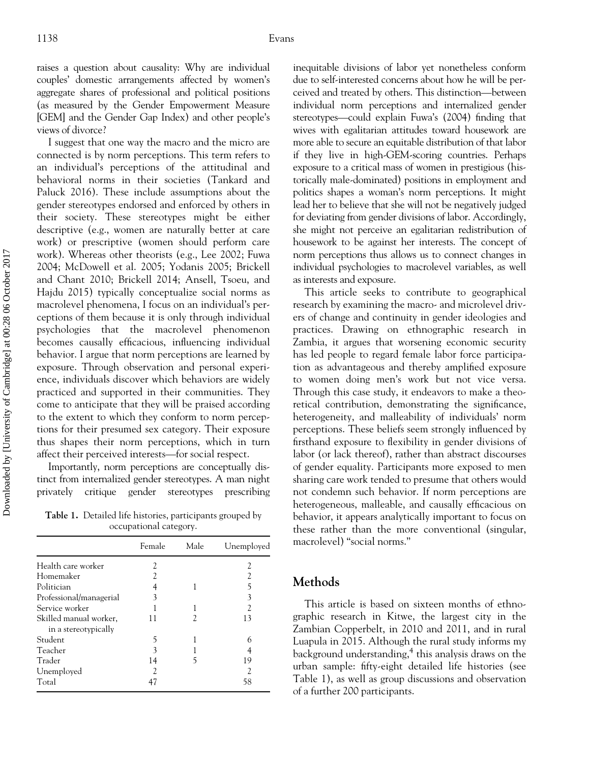raises a question about causality: Why are individual couples' domestic arrangements affected by women's aggregate shares of professional and political positions (as measured by the Gender Empowerment Measure [GEM] and the Gender Gap Index) and other people's views of divorce?

I suggest that one way the macro and the micro are connected is by norm perceptions. This term refers to an individual's perceptions of the attitudinal and behavioral norms in their societies (Tankard and Paluck 2016). These include assumptions about the gender stereotypes endorsed and enforced by others in their society. These stereotypes might be either descriptive (e.g., women are naturally better at care work) or prescriptive (women should perform care work). Whereas other theorists (e.g., Lee 2002; Fuwa 2004; McDowell et al. 2005; Yodanis 2005; Brickell and Chant 2010; Brickell 2014; Ansell, Tsoeu, and Hajdu 2015) typically conceptualize social norms as macrolevel phenomena, I focus on an individual's perceptions of them because it is only through individual psychologies that the macrolevel phenomenon becomes causally efficacious, influencing individual behavior. I argue that norm perceptions are learned by exposure. Through observation and personal experience, individuals discover which behaviors are widely practiced and supported in their communities. They come to anticipate that they will be praised according to the extent to which they conform to norm perceptions for their presumed sex category. Their exposure thus shapes their norm perceptions, which in turn affect their perceived interests—for social respect.

Importantly, norm perceptions are conceptually distinct from internalized gender stereotypes. A man night privately critique gender stereotypes prescribing

Table 1. Detailed life histories, participants grouped by occupational category.

|                         | Female | Male          | Unemployed |
|-------------------------|--------|---------------|------------|
| Health care worker      |        |               |            |
| Homemaker               |        |               |            |
| Politician              |        |               | 5          |
| Professional/managerial |        |               | 3          |
| Service worker          |        |               | っ          |
| Skilled manual worker,  |        | $\mathcal{P}$ | 13         |
| in a stereotypically    |        |               |            |
| Student                 | 5      |               | 6          |
| Teacher                 |        |               |            |
| Trader                  | 14     |               | 19         |
| Unemployed              |        |               | 2          |
| Total                   |        |               | 58         |

inequitable divisions of labor yet nonetheless conform due to self-interested concerns about how he will be perceived and treated by others. This distinction—between individual norm perceptions and internalized gender stereotypes—could explain Fuwa's (2004) finding that wives with egalitarian attitudes toward housework are more able to secure an equitable distribution of that labor if they live in high-GEM-scoring countries. Perhaps exposure to a critical mass of women in prestigious (historically male-dominated) positions in employment and politics shapes a woman's norm perceptions. It might lead her to believe that she will not be negatively judged for deviating from gender divisions of labor. Accordingly, she might not perceive an egalitarian redistribution of housework to be against her interests. The concept of norm perceptions thus allows us to connect changes in individual psychologies to macrolevel variables, as well as interests and exposure.

This article seeks to contribute to geographical research by examining the macro- and microlevel drivers of change and continuity in gender ideologies and practices. Drawing on ethnographic research in Zambia, it argues that worsening economic security has led people to regard female labor force participation as advantageous and thereby amplified exposure to women doing men's work but not vice versa. Through this case study, it endeavors to make a theoretical contribution, demonstrating the significance, heterogeneity, and malleability of individuals' norm perceptions. These beliefs seem strongly influenced by firsthand exposure to flexibility in gender divisions of labor (or lack thereof), rather than abstract discourses of gender equality. Participants more exposed to men sharing care work tended to presume that others would not condemn such behavior. If norm perceptions are heterogeneous, malleable, and causally efficacious on behavior, it appears analytically important to focus on these rather than the more conventional (singular, macrolevel) "social norms."

#### Methods

This article is based on sixteen months of ethnographic research in Kitwe, the largest city in the Zambian Copperbelt, in 2010 and 2011, and in rural Luapula in 2015. Although the rural study informs my background understanding,<sup>4</sup> this analysis draws on the urban sample: fifty-eight detailed life histories (see Table 1), as well as group discussions and observation of a further 200 participants.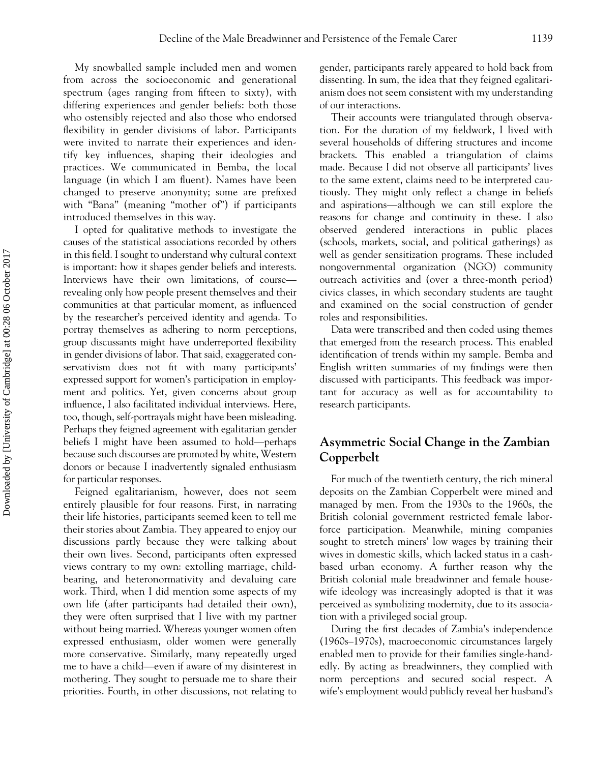My snowballed sample included men and women from across the socioeconomic and generational spectrum (ages ranging from fifteen to sixty), with differing experiences and gender beliefs: both those who ostensibly rejected and also those who endorsed flexibility in gender divisions of labor. Participants were invited to narrate their experiences and identify key influences, shaping their ideologies and practices. We communicated in Bemba, the local language (in which I am fluent). Names have been changed to preserve anonymity; some are prefixed with "Bana" (meaning "mother of") if participants introduced themselves in this way.

I opted for qualitative methods to investigate the causes of the statistical associations recorded by others in this field. I sought to understand why cultural context is important: how it shapes gender beliefs and interests. Interviews have their own limitations, of course revealing only how people present themselves and their communities at that particular moment, as influenced by the researcher's perceived identity and agenda. To portray themselves as adhering to norm perceptions, group discussants might have underreported flexibility in gender divisions of labor. That said, exaggerated conservativism does not fit with many participants' expressed support for women's participation in employment and politics. Yet, given concerns about group influence, I also facilitated individual interviews. Here, too, though, self-portrayals might have been misleading. Perhaps they feigned agreement with egalitarian gender beliefs I might have been assumed to hold—perhaps because such discourses are promoted by white, Western donors or because I inadvertently signaled enthusiasm for particular responses.

Feigned egalitarianism, however, does not seem entirely plausible for four reasons. First, in narrating their life histories, participants seemed keen to tell me their stories about Zambia. They appeared to enjoy our discussions partly because they were talking about their own lives. Second, participants often expressed views contrary to my own: extolling marriage, childbearing, and heteronormativity and devaluing care work. Third, when I did mention some aspects of my own life (after participants had detailed their own), they were often surprised that I live with my partner without being married. Whereas younger women often expressed enthusiasm, older women were generally more conservative. Similarly, many repeatedly urged me to have a child—even if aware of my disinterest in mothering. They sought to persuade me to share their priorities. Fourth, in other discussions, not relating to

gender, participants rarely appeared to hold back from dissenting. In sum, the idea that they feigned egalitarianism does not seem consistent with my understanding of our interactions.

Their accounts were triangulated through observation. For the duration of my fieldwork, I lived with several households of differing structures and income brackets. This enabled a triangulation of claims made. Because I did not observe all participants' lives to the same extent, claims need to be interpreted cautiously. They might only reflect a change in beliefs and aspirations—although we can still explore the reasons for change and continuity in these. I also observed gendered interactions in public places (schools, markets, social, and political gatherings) as well as gender sensitization programs. These included nongovernmental organization (NGO) community outreach activities and (over a three-month period) civics classes, in which secondary students are taught and examined on the social construction of gender roles and responsibilities.

Data were transcribed and then coded using themes that emerged from the research process. This enabled identification of trends within my sample. Bemba and English written summaries of my findings were then discussed with participants. This feedback was important for accuracy as well as for accountability to research participants.

#### Asymmetric Social Change in the Zambian Copperbelt

For much of the twentieth century, the rich mineral deposits on the Zambian Copperbelt were mined and managed by men. From the 1930s to the 1960s, the British colonial government restricted female laborforce participation. Meanwhile, mining companies sought to stretch miners' low wages by training their wives in domestic skills, which lacked status in a cashbased urban economy. A further reason why the British colonial male breadwinner and female housewife ideology was increasingly adopted is that it was perceived as symbolizing modernity, due to its association with a privileged social group.

During the first decades of Zambia's independence (1960s–1970s), macroeconomic circumstances largely enabled men to provide for their families single-handedly. By acting as breadwinners, they complied with norm perceptions and secured social respect. A wife's employment would publicly reveal her husband's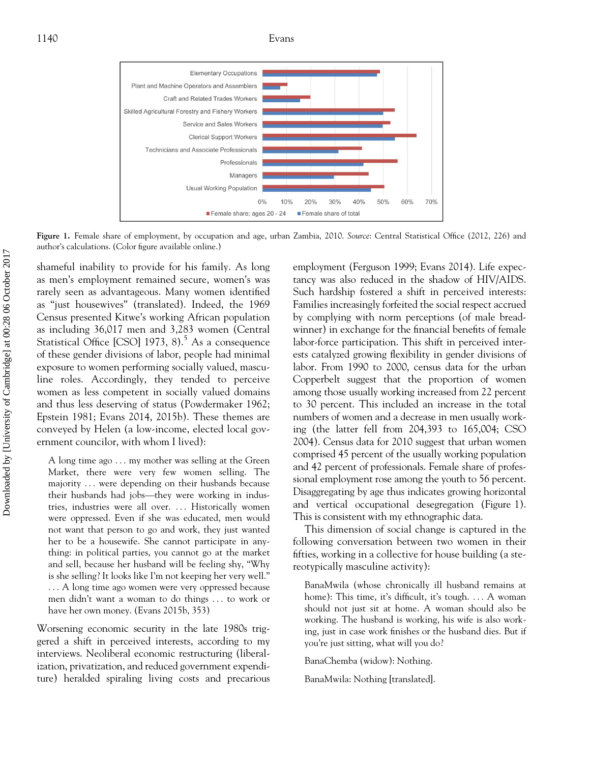

Figure 1. Female share of employment, by occupation and age, urban Zambia, 2010. Source: Central Statistical Office (2012, 226) and author's calculations. (Color figure available online.)

shameful inability to provide for his family. As long as men's employment remained secure, women's was rarely seen as advantageous. Many women identified as "just housewives" (translated). Indeed, the 1969 Census presented Kitwe's working African population as including 36,017 men and 3,283 women (Central Statistical Office [CSO] 1973,  $8$ ).<sup>5</sup> As a consequence of these gender divisions of labor, people had minimal exposure to women performing socially valued, masculine roles. Accordingly, they tended to perceive women as less competent in socially valued domains and thus less deserving of status (Powdermaker 1962; Epstein 1981; Evans 2014, 2015b). These themes are conveyed by Helen (a low-income, elected local government councilor, with whom I lived):

A long time ago ... my mother was selling at the Green Market, there were very few women selling. The majority ... were depending on their husbands because their husbands had jobs—they were working in industries, industries were all over. ... Historically women were oppressed. Even if she was educated, men would not want that person to go and work, they just wanted her to be a housewife. She cannot participate in anything: in political parties, you cannot go at the market and sell, because her husband will be feeling shy, "Why is she selling? It looks like I'm not keeping her very well." ... A long time ago women were very oppressed because men didn't want a woman to do things ... to work or have her own money. (Evans 2015b, 353)

Worsening economic security in the late 1980s triggered a shift in perceived interests, according to my interviews. Neoliberal economic restructuring (liberalization, privatization, and reduced government expenditure) heralded spiraling living costs and precarious employment (Ferguson 1999; Evans 2014). Life expectancy was also reduced in the shadow of HIV/AIDS. Such hardship fostered a shift in perceived interests: Families increasingly forfeited the social respect accrued by complying with norm perceptions (of male breadwinner) in exchange for the financial benefits of female labor-force participation. This shift in perceived interests catalyzed growing flexibility in gender divisions of labor. From 1990 to 2000, census data for the urban Copperbelt suggest that the proportion of women among those usually working increased from 22 percent to 30 percent. This included an increase in the total numbers of women and a decrease in men usually working (the latter fell from 204,393 to 165,004; CSO 2004). Census data for 2010 suggest that urban women comprised 45 percent of the usually working population and 42 percent of professionals. Female share of professional employment rose among the youth to 56 percent. Disaggregating by age thus indicates growing horizontal and vertical occupational desegregation (Figure 1). This is consistent with my ethnographic data.

This dimension of social change is captured in the following conversation between two women in their fifties, working in a collective for house building (a stereotypically masculine activity):

BanaMwila (whose chronically ill husband remains at home): This time, it's difficult, it's tough. ... A woman should not just sit at home. A woman should also be working. The husband is working, his wife is also working, just in case work finishes or the husband dies. But if you're just sitting, what will you do?

BanaChemba (widow): Nothing.

BanaMwila: Nothing [translated].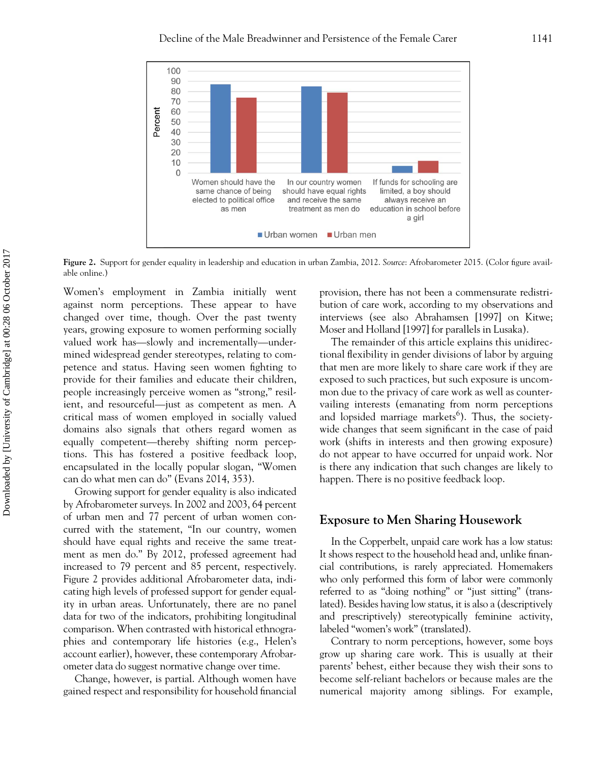

Figure 2. Support for gender equality in leadership and education in urban Zambia, 2012. Source: Afrobarometer 2015. (Color figure available online.)

Women's employment in Zambia initially went against norm perceptions. These appear to have changed over time, though. Over the past twenty years, growing exposure to women performing socially valued work has—slowly and incrementally—undermined widespread gender stereotypes, relating to competence and status. Having seen women fighting to provide for their families and educate their children, people increasingly perceive women as "strong," resilient, and resourceful—just as competent as men. A critical mass of women employed in socially valued domains also signals that others regard women as equally competent—thereby shifting norm perceptions. This has fostered a positive feedback loop, encapsulated in the locally popular slogan, "Women can do what men can do" (Evans 2014, 353).

Growing support for gender equality is also indicated by Afrobarometer surveys. In 2002 and 2003, 64 percent of urban men and 77 percent of urban women concurred with the statement, "In our country, women should have equal rights and receive the same treatment as men do." By 2012, professed agreement had increased to 79 percent and 85 percent, respectively. Figure 2 provides additional Afrobarometer data, indicating high levels of professed support for gender equality in urban areas. Unfortunately, there are no panel data for two of the indicators, prohibiting longitudinal comparison. When contrasted with historical ethnographies and contemporary life histories (e.g., Helen's account earlier), however, these contemporary Afrobarometer data do suggest normative change over time.

Change, however, is partial. Although women have gained respect and responsibility for household financial

provision, there has not been a commensurate redistribution of care work, according to my observations and interviews (see also Abrahamsen [1997] on Kitwe; Moser and Holland [1997] for parallels in Lusaka).

The remainder of this article explains this unidirectional flexibility in gender divisions of labor by arguing that men are more likely to share care work if they are exposed to such practices, but such exposure is uncommon due to the privacy of care work as well as countervailing interests (emanating from norm perceptions and lopsided marriage markets<sup>6</sup>). Thus, the societywide changes that seem significant in the case of paid work (shifts in interests and then growing exposure) do not appear to have occurred for unpaid work. Nor is there any indication that such changes are likely to happen. There is no positive feedback loop.

#### Exposure to Men Sharing Housework

In the Copperbelt, unpaid care work has a low status: It shows respect to the household head and, unlike financial contributions, is rarely appreciated. Homemakers who only performed this form of labor were commonly referred to as "doing nothing" or "just sitting" (translated). Besides having low status, it is also a (descriptively and prescriptively) stereotypically feminine activity, labeled "women's work" (translated).

Contrary to norm perceptions, however, some boys grow up sharing care work. This is usually at their parents' behest, either because they wish their sons to become self-reliant bachelors or because males are the numerical majority among siblings. For example,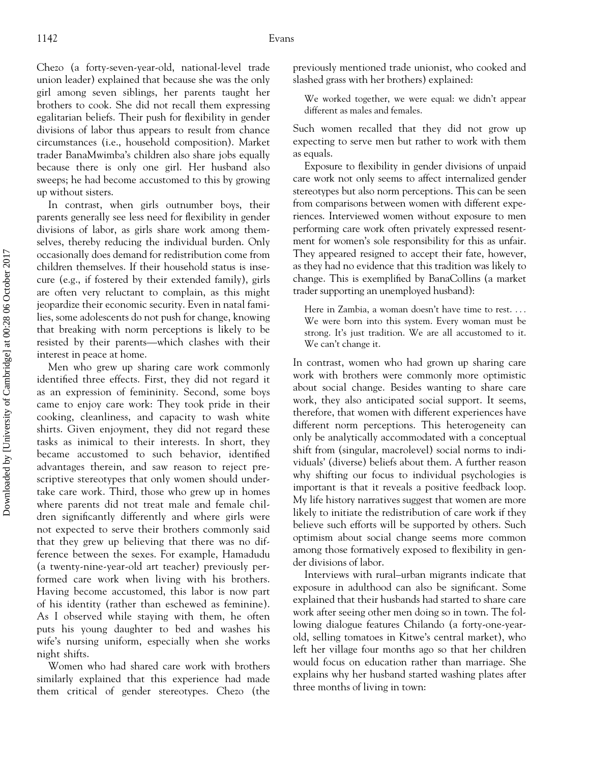Chezo (a forty-seven-year-old, national-level trade union leader) explained that because she was the only girl among seven siblings, her parents taught her brothers to cook. She did not recall them expressing egalitarian beliefs. Their push for flexibility in gender divisions of labor thus appears to result from chance circumstances (i.e., household composition). Market trader BanaMwimba's children also share jobs equally because there is only one girl. Her husband also sweeps; he had become accustomed to this by growing up without sisters.

In contrast, when girls outnumber boys, their parents generally see less need for flexibility in gender divisions of labor, as girls share work among themselves, thereby reducing the individual burden. Only occasionally does demand for redistribution come from children themselves. If their household status is insecure (e.g., if fostered by their extended family), girls are often very reluctant to complain, as this might jeopardize their economic security. Even in natal families, some adolescents do not push for change, knowing that breaking with norm perceptions is likely to be resisted by their parents—which clashes with their interest in peace at home.

Men who grew up sharing care work commonly identified three effects. First, they did not regard it as an expression of femininity. Second, some boys came to enjoy care work: They took pride in their cooking, cleanliness, and capacity to wash white shirts. Given enjoyment, they did not regard these tasks as inimical to their interests. In short, they became accustomed to such behavior, identified advantages therein, and saw reason to reject prescriptive stereotypes that only women should undertake care work. Third, those who grew up in homes where parents did not treat male and female children significantly differently and where girls were not expected to serve their brothers commonly said that they grew up believing that there was no difference between the sexes. For example, Hamadudu (a twenty-nine-year-old art teacher) previously performed care work when living with his brothers. Having become accustomed, this labor is now part of his identity (rather than eschewed as feminine). As I observed while staying with them, he often puts his young daughter to bed and washes his wife's nursing uniform, especially when she works night shifts.

Women who had shared care work with brothers similarly explained that this experience had made them critical of gender stereotypes. Chezo (the previously mentioned trade unionist, who cooked and slashed grass with her brothers) explained:

We worked together, we were equal: we didn't appear different as males and females.

Such women recalled that they did not grow up expecting to serve men but rather to work with them as equals.

Exposure to flexibility in gender divisions of unpaid care work not only seems to affect internalized gender stereotypes but also norm perceptions. This can be seen from comparisons between women with different experiences. Interviewed women without exposure to men performing care work often privately expressed resentment for women's sole responsibility for this as unfair. They appeared resigned to accept their fate, however, as they had no evidence that this tradition was likely to change. This is exemplified by BanaCollins (a market trader supporting an unemployed husband):

Here in Zambia, a woman doesn't have time to rest. ... We were born into this system. Every woman must be strong. It's just tradition. We are all accustomed to it. We can't change it.

In contrast, women who had grown up sharing care work with brothers were commonly more optimistic about social change. Besides wanting to share care work, they also anticipated social support. It seems, therefore, that women with different experiences have different norm perceptions. This heterogeneity can only be analytically accommodated with a conceptual shift from (singular, macrolevel) social norms to individuals' (diverse) beliefs about them. A further reason why shifting our focus to individual psychologies is important is that it reveals a positive feedback loop. My life history narratives suggest that women are more likely to initiate the redistribution of care work if they believe such efforts will be supported by others. Such optimism about social change seems more common among those formatively exposed to flexibility in gender divisions of labor.

Interviews with rural–urban migrants indicate that exposure in adulthood can also be significant. Some explained that their husbands had started to share care work after seeing other men doing so in town. The following dialogue features Chilando (a forty-one-yearold, selling tomatoes in Kitwe's central market), who left her village four months ago so that her children would focus on education rather than marriage. She explains why her husband started washing plates after three months of living in town: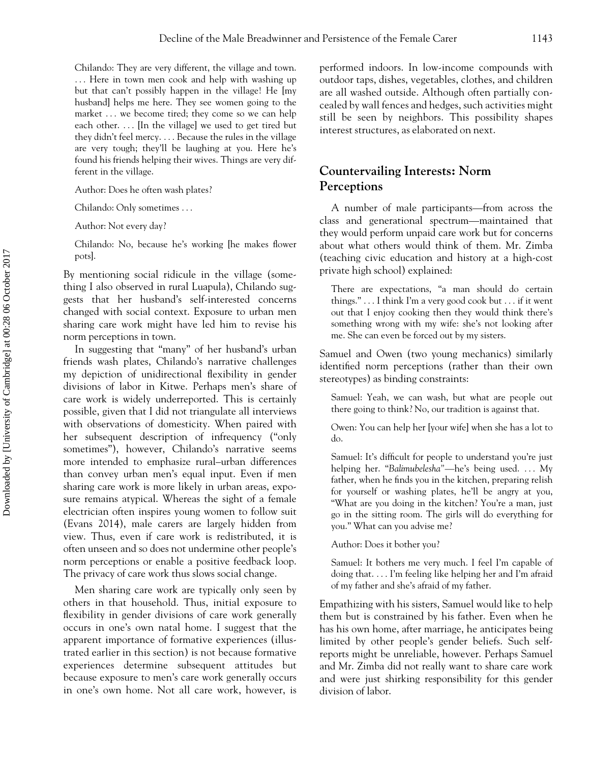Chilando: They are very different, the village and town. ... Here in town men cook and help with washing up but that can't possibly happen in the village! He [my husband] helps me here. They see women going to the market ... we become tired; they come so we can help each other. ... [In the village] we used to get tired but they didn't feel mercy. ... Because the rules in the village are very tough; they'll be laughing at you. Here he's found his friends helping their wives. Things are very different in the village.

Author: Does he often wash plates?

Chilando: Only sometimes ...

Author: Not every day?

Chilando: No, because he's working [he makes flower pots].

By mentioning social ridicule in the village (something I also observed in rural Luapula), Chilando suggests that her husband's self-interested concerns changed with social context. Exposure to urban men sharing care work might have led him to revise his norm perceptions in town.

In suggesting that "many" of her husband's urban friends wash plates, Chilando's narrative challenges my depiction of unidirectional flexibility in gender divisions of labor in Kitwe. Perhaps men's share of care work is widely underreported. This is certainly possible, given that I did not triangulate all interviews with observations of domesticity. When paired with her subsequent description of infrequency ("only sometimes"), however, Chilando's narrative seems more intended to emphasize rural–urban differences than convey urban men's equal input. Even if men sharing care work is more likely in urban areas, exposure remains atypical. Whereas the sight of a female electrician often inspires young women to follow suit (Evans 2014), male carers are largely hidden from view. Thus, even if care work is redistributed, it is often unseen and so does not undermine other people's norm perceptions or enable a positive feedback loop. The privacy of care work thus slows social change.

Men sharing care work are typically only seen by others in that household. Thus, initial exposure to flexibility in gender divisions of care work generally occurs in one's own natal home. I suggest that the apparent importance of formative experiences (illustrated earlier in this section) is not because formative experiences determine subsequent attitudes but because exposure to men's care work generally occurs in one's own home. Not all care work, however, is performed indoors. In low-income compounds with outdoor taps, dishes, vegetables, clothes, and children are all washed outside. Although often partially concealed by wall fences and hedges, such activities might still be seen by neighbors. This possibility shapes interest structures, as elaborated on next.

### Countervailing Interests: Norm Perceptions

A number of male participants—from across the class and generational spectrum—maintained that they would perform unpaid care work but for concerns about what others would think of them. Mr. Zimba (teaching civic education and history at a high-cost private high school) explained:

There are expectations, "a man should do certain things." ... I think I'm a very good cook but ... if it went out that I enjoy cooking then they would think there's something wrong with my wife: she's not looking after me. She can even be forced out by my sisters.

Samuel and Owen (two young mechanics) similarly identified norm perceptions (rather than their own stereotypes) as binding constraints:

Samuel: Yeah, we can wash, but what are people out there going to think? No, our tradition is against that.

Owen: You can help her [your wife] when she has a lot to do.

Samuel: It's difficult for people to understand you're just helping her. "Balimubelesha"—he's being used. ... My father, when he finds you in the kitchen, preparing relish for yourself or washing plates, he'll be angry at you, "What are you doing in the kitchen? You're a man, just go in the sitting room. The girls will do everything for you." What can you advise me?

Author: Does it bother you?

Samuel: It bothers me very much. I feel I'm capable of doing that. ... I'm feeling like helping her and I'm afraid of my father and she's afraid of my father.

Empathizing with his sisters, Samuel would like to help them but is constrained by his father. Even when he has his own home, after marriage, he anticipates being limited by other people's gender beliefs. Such selfreports might be unreliable, however. Perhaps Samuel and Mr. Zimba did not really want to share care work and were just shirking responsibility for this gender division of labor.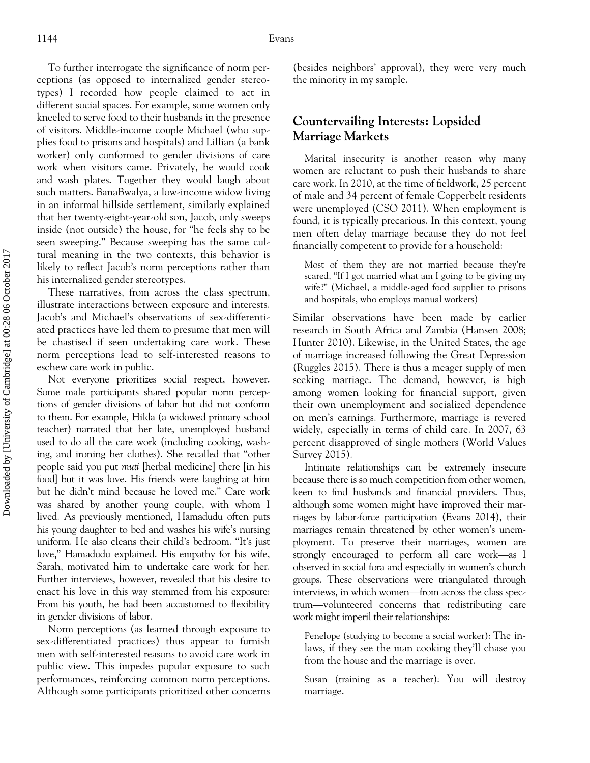To further interrogate the significance of norm perceptions (as opposed to internalized gender stereotypes) I recorded how people claimed to act in different social spaces. For example, some women only kneeled to serve food to their husbands in the presence of visitors. Middle-income couple Michael (who supplies food to prisons and hospitals) and Lillian (a bank worker) only conformed to gender divisions of care work when visitors came. Privately, he would cook and wash plates. Together they would laugh about such matters. BanaBwalya, a low-income widow living in an informal hillside settlement, similarly explained that her twenty-eight-year-old son, Jacob, only sweeps inside (not outside) the house, for "he feels shy to be seen sweeping." Because sweeping has the same cultural meaning in the two contexts, this behavior is likely to reflect Jacob's norm perceptions rather than his internalized gender stereotypes.

These narratives, from across the class spectrum, illustrate interactions between exposure and interests. Jacob's and Michael's observations of sex-differentiated practices have led them to presume that men will be chastised if seen undertaking care work. These norm perceptions lead to self-interested reasons to eschew care work in public.

Not everyone prioritizes social respect, however. Some male participants shared popular norm perceptions of gender divisions of labor but did not conform to them. For example, Hilda (a widowed primary school teacher) narrated that her late, unemployed husband used to do all the care work (including cooking, washing, and ironing her clothes). She recalled that "other people said you put muti [herbal medicine] there [in his food] but it was love. His friends were laughing at him but he didn't mind because he loved me." Care work was shared by another young couple, with whom I lived. As previously mentioned, Hamadudu often puts his young daughter to bed and washes his wife's nursing uniform. He also cleans their child's bedroom. "It's just love," Hamadudu explained. His empathy for his wife, Sarah, motivated him to undertake care work for her. Further interviews, however, revealed that his desire to enact his love in this way stemmed from his exposure: From his youth, he had been accustomed to flexibility in gender divisions of labor.

Norm perceptions (as learned through exposure to sex-differentiated practices) thus appear to furnish men with self-interested reasons to avoid care work in public view. This impedes popular exposure to such performances, reinforcing common norm perceptions. Although some participants prioritized other concerns (besides neighbors' approval), they were very much the minority in my sample.

#### Countervailing Interests: Lopsided Marriage Markets

Marital insecurity is another reason why many women are reluctant to push their husbands to share care work. In 2010, at the time of fieldwork, 25 percent of male and 34 percent of female Copperbelt residents were unemployed (CSO 2011). When employment is found, it is typically precarious. In this context, young men often delay marriage because they do not feel financially competent to provide for a household:

Most of them they are not married because they're scared, "If I got married what am I going to be giving my wife?" (Michael, a middle-aged food supplier to prisons and hospitals, who employs manual workers)

Similar observations have been made by earlier research in South Africa and Zambia (Hansen 2008; Hunter 2010). Likewise, in the United States, the age of marriage increased following the Great Depression (Ruggles 2015). There is thus a meager supply of men seeking marriage. The demand, however, is high among women looking for financial support, given their own unemployment and socialized dependence on men's earnings. Furthermore, marriage is revered widely, especially in terms of child care. In 2007, 63 percent disapproved of single mothers (World Values Survey 2015).

Intimate relationships can be extremely insecure because there is so much competition from other women, keen to find husbands and financial providers. Thus, although some women might have improved their marriages by labor-force participation (Evans 2014), their marriages remain threatened by other women's unemployment. To preserve their marriages, women are strongly encouraged to perform all care work—as I observed in social fora and especially in women's church groups. These observations were triangulated through interviews, in which women—from across the class spectrum—volunteered concerns that redistributing care work might imperil their relationships:

Penelope (studying to become a social worker): The inlaws, if they see the man cooking they'll chase you from the house and the marriage is over.

Susan (training as a teacher): You will destroy marriage.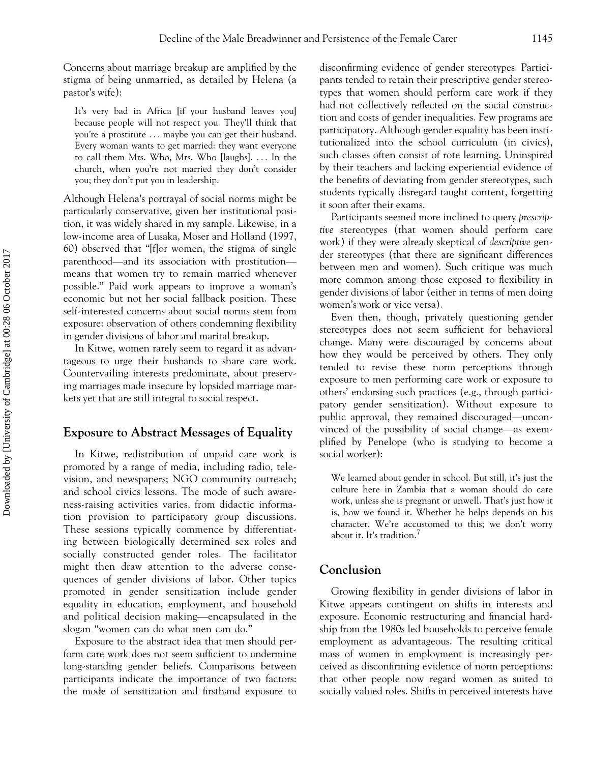Concerns about marriage breakup are amplified by the stigma of being unmarried, as detailed by Helena (a pastor's wife):

It's very bad in Africa [if your husband leaves you] because people will not respect you. They'll think that you're a prostitute ... maybe you can get their husband. Every woman wants to get married: they want everyone to call them Mrs. Who, Mrs. Who [laughs]. ... In the church, when you're not married they don't consider you; they don't put you in leadership.

Although Helena's portrayal of social norms might be particularly conservative, given her institutional position, it was widely shared in my sample. Likewise, in a low-income area of Lusaka, Moser and Holland (1997, 60) observed that "[f]or women, the stigma of single parenthood—and its association with prostitution means that women try to remain married whenever possible." Paid work appears to improve a woman's economic but not her social fallback position. These self-interested concerns about social norms stem from exposure: observation of others condemning flexibility in gender divisions of labor and marital breakup.

In Kitwe, women rarely seem to regard it as advantageous to urge their husbands to share care work. Countervailing interests predominate, about preserving marriages made insecure by lopsided marriage markets yet that are still integral to social respect.

#### Exposure to Abstract Messages of Equality

In Kitwe, redistribution of unpaid care work is promoted by a range of media, including radio, television, and newspapers; NGO community outreach; and school civics lessons. The mode of such awareness-raising activities varies, from didactic information provision to participatory group discussions. These sessions typically commence by differentiating between biologically determined sex roles and socially constructed gender roles. The facilitator might then draw attention to the adverse consequences of gender divisions of labor. Other topics promoted in gender sensitization include gender equality in education, employment, and household and political decision making—encapsulated in the slogan "women can do what men can do."

Exposure to the abstract idea that men should perform care work does not seem sufficient to undermine long-standing gender beliefs. Comparisons between participants indicate the importance of two factors: the mode of sensitization and firsthand exposure to disconfirming evidence of gender stereotypes. Participants tended to retain their prescriptive gender stereotypes that women should perform care work if they had not collectively reflected on the social construction and costs of gender inequalities. Few programs are participatory. Although gender equality has been institutionalized into the school curriculum (in civics), such classes often consist of rote learning. Uninspired by their teachers and lacking experiential evidence of the benefits of deviating from gender stereotypes, such students typically disregard taught content, forgetting it soon after their exams.

Participants seemed more inclined to query prescriptive stereotypes (that women should perform care work) if they were already skeptical of descriptive gender stereotypes (that there are significant differences between men and women). Such critique was much more common among those exposed to flexibility in gender divisions of labor (either in terms of men doing women's work or vice versa).

Even then, though, privately questioning gender stereotypes does not seem sufficient for behavioral change. Many were discouraged by concerns about how they would be perceived by others. They only tended to revise these norm perceptions through exposure to men performing care work or exposure to others' endorsing such practices (e.g., through participatory gender sensitization). Without exposure to public approval, they remained discouraged—unconvinced of the possibility of social change—as exemplified by Penelope (who is studying to become a social worker):

We learned about gender in school. But still, it's just the culture here in Zambia that a woman should do care work, unless she is pregnant or unwell. That's just how it is, how we found it. Whether he helps depends on his character. We're accustomed to this; we don't worry about it. It's tradition.<sup>7</sup>

#### Conclusion

Growing flexibility in gender divisions of labor in Kitwe appears contingent on shifts in interests and exposure. Economic restructuring and financial hardship from the 1980s led households to perceive female employment as advantageous. The resulting critical mass of women in employment is increasingly perceived as disconfirming evidence of norm perceptions: that other people now regard women as suited to socially valued roles. Shifts in perceived interests have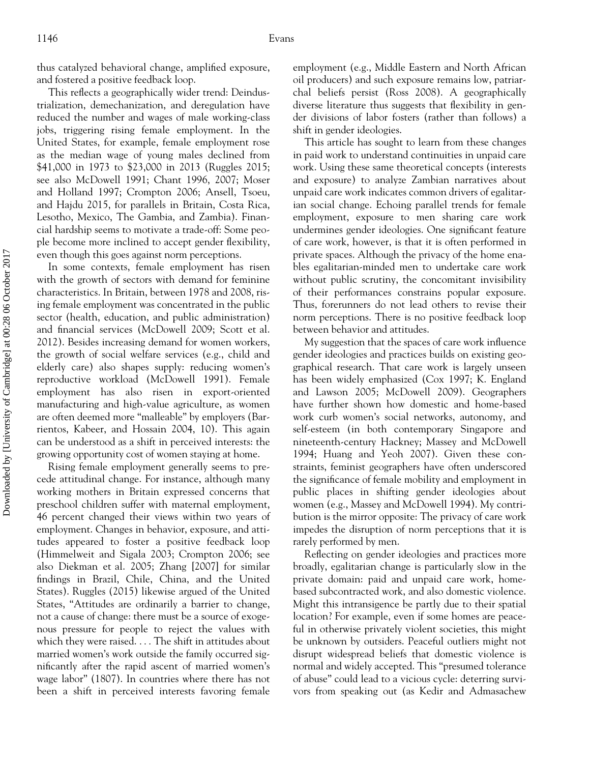thus catalyzed behavioral change, amplified exposure, and fostered a positive feedback loop.

This reflects a geographically wider trend: Deindustrialization, demechanization, and deregulation have reduced the number and wages of male working-class jobs, triggering rising female employment. In the United States, for example, female employment rose as the median wage of young males declined from \$41,000 in 1973 to \$23,000 in 2013 (Ruggles 2015; see also McDowell 1991; Chant 1996, 2007; Moser and Holland 1997; Crompton 2006; Ansell, Tsoeu, and Hajdu 2015, for parallels in Britain, Costa Rica, Lesotho, Mexico, The Gambia, and Zambia). Financial hardship seems to motivate a trade-off: Some people become more inclined to accept gender flexibility, even though this goes against norm perceptions.

In some contexts, female employment has risen with the growth of sectors with demand for feminine characteristics. In Britain, between 1978 and 2008, rising female employment was concentrated in the public sector (health, education, and public administration) and financial services (McDowell 2009; Scott et al. 2012). Besides increasing demand for women workers, the growth of social welfare services (e.g., child and elderly care) also shapes supply: reducing women's reproductive workload (McDowell 1991). Female employment has also risen in export-oriented manufacturing and high-value agriculture, as women are often deemed more "malleable" by employers (Barrientos, Kabeer, and Hossain 2004, 10). This again can be understood as a shift in perceived interests: the growing opportunity cost of women staying at home.

Rising female employment generally seems to precede attitudinal change. For instance, although many working mothers in Britain expressed concerns that preschool children suffer with maternal employment, 46 percent changed their views within two years of employment. Changes in behavior, exposure, and attitudes appeared to foster a positive feedback loop (Himmelweit and Sigala 2003; Crompton 2006; see also Diekman et al. 2005; Zhang [2007] for similar findings in Brazil, Chile, China, and the United States). Ruggles (2015) likewise argued of the United States, "Attitudes are ordinarily a barrier to change, not a cause of change: there must be a source of exogenous pressure for people to reject the values with which they were raised. ... The shift in attitudes about married women's work outside the family occurred significantly after the rapid ascent of married women's wage labor" (1807). In countries where there has not been a shift in perceived interests favoring female

employment (e.g., Middle Eastern and North African oil producers) and such exposure remains low, patriarchal beliefs persist (Ross 2008). A geographically diverse literature thus suggests that flexibility in gender divisions of labor fosters (rather than follows) a shift in gender ideologies.

This article has sought to learn from these changes in paid work to understand continuities in unpaid care work. Using these same theoretical concepts (interests and exposure) to analyze Zambian narratives about unpaid care work indicates common drivers of egalitarian social change. Echoing parallel trends for female employment, exposure to men sharing care work undermines gender ideologies. One significant feature of care work, however, is that it is often performed in private spaces. Although the privacy of the home enables egalitarian-minded men to undertake care work without public scrutiny, the concomitant invisibility of their performances constrains popular exposure. Thus, forerunners do not lead others to revise their norm perceptions. There is no positive feedback loop between behavior and attitudes.

My suggestion that the spaces of care work influence gender ideologies and practices builds on existing geographical research. That care work is largely unseen has been widely emphasized (Cox 1997; K. England and Lawson 2005; McDowell 2009). Geographers have further shown how domestic and home-based work curb women's social networks, autonomy, and self-esteem (in both contemporary Singapore and nineteenth-century Hackney; Massey and McDowell 1994; Huang and Yeoh 2007). Given these constraints, feminist geographers have often underscored the significance of female mobility and employment in public places in shifting gender ideologies about women (e.g., Massey and McDowell 1994). My contribution is the mirror opposite: The privacy of care work impedes the disruption of norm perceptions that it is rarely performed by men.

Reflecting on gender ideologies and practices more broadly, egalitarian change is particularly slow in the private domain: paid and unpaid care work, homebased subcontracted work, and also domestic violence. Might this intransigence be partly due to their spatial location? For example, even if some homes are peaceful in otherwise privately violent societies, this might be unknown by outsiders. Peaceful outliers might not disrupt widespread beliefs that domestic violence is normal and widely accepted. This "presumed tolerance of abuse" could lead to a vicious cycle: deterring survivors from speaking out (as Kedir and Admasachew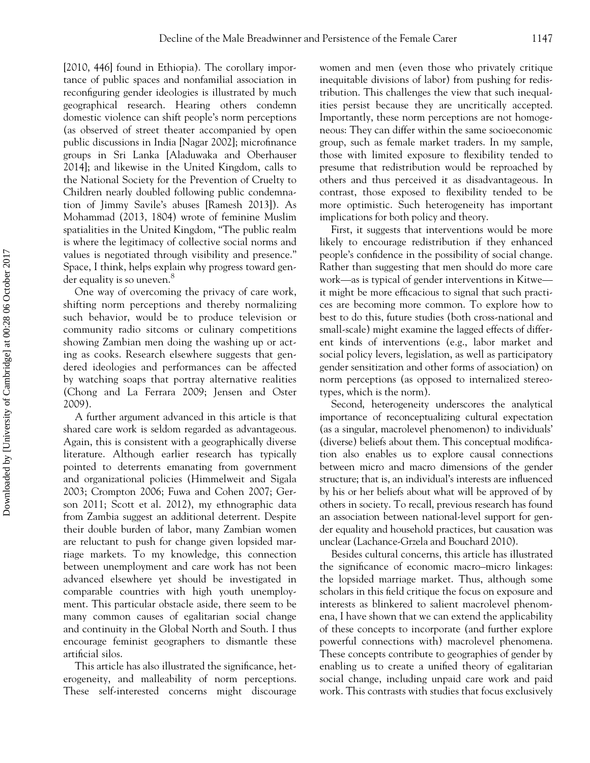[2010, 446] found in Ethiopia). The corollary importance of public spaces and nonfamilial association in reconfiguring gender ideologies is illustrated by much geographical research. Hearing others condemn domestic violence can shift people's norm perceptions (as observed of street theater accompanied by open public discussions in India [Nagar 2002]; microfinance groups in Sri Lanka [Aladuwaka and Oberhauser 2014]; and likewise in the United Kingdom, calls to the National Society for the Prevention of Cruelty to Children nearly doubled following public condemnation of Jimmy Savile's abuses [Ramesh 2013]). As Mohammad (2013, 1804) wrote of feminine Muslim spatialities in the United Kingdom, "The public realm is where the legitimacy of collective social norms and values is negotiated through visibility and presence." Space, I think, helps explain why progress toward gender equality is so uneven.<sup>8</sup>

One way of overcoming the privacy of care work, shifting norm perceptions and thereby normalizing such behavior, would be to produce television or community radio sitcoms or culinary competitions showing Zambian men doing the washing up or acting as cooks. Research elsewhere suggests that gendered ideologies and performances can be affected by watching soaps that portray alternative realities (Chong and La Ferrara 2009; Jensen and Oster 2009).

A further argument advanced in this article is that shared care work is seldom regarded as advantageous. Again, this is consistent with a geographically diverse literature. Although earlier research has typically pointed to deterrents emanating from government and organizational policies (Himmelweit and Sigala 2003; Crompton 2006; Fuwa and Cohen 2007; Gerson 2011; Scott et al. 2012), my ethnographic data from Zambia suggest an additional deterrent. Despite their double burden of labor, many Zambian women are reluctant to push for change given lopsided marriage markets. To my knowledge, this connection between unemployment and care work has not been advanced elsewhere yet should be investigated in comparable countries with high youth unemployment. This particular obstacle aside, there seem to be many common causes of egalitarian social change and continuity in the Global North and South. I thus encourage feminist geographers to dismantle these artificial silos.

This article has also illustrated the significance, heterogeneity, and malleability of norm perceptions. These self-interested concerns might discourage

women and men (even those who privately critique inequitable divisions of labor) from pushing for redistribution. This challenges the view that such inequalities persist because they are uncritically accepted. Importantly, these norm perceptions are not homogeneous: They can differ within the same socioeconomic group, such as female market traders. In my sample, those with limited exposure to flexibility tended to presume that redistribution would be reproached by others and thus perceived it as disadvantageous. In contrast, those exposed to flexibility tended to be more optimistic. Such heterogeneity has important implications for both policy and theory.

First, it suggests that interventions would be more likely to encourage redistribution if they enhanced people's confidence in the possibility of social change. Rather than suggesting that men should do more care work—as is typical of gender interventions in Kitwe it might be more efficacious to signal that such practices are becoming more common. To explore how to best to do this, future studies (both cross-national and small-scale) might examine the lagged effects of different kinds of interventions (e.g., labor market and social policy levers, legislation, as well as participatory gender sensitization and other forms of association) on norm perceptions (as opposed to internalized stereotypes, which is the norm).

Second, heterogeneity underscores the analytical importance of reconceptualizing cultural expectation (as a singular, macrolevel phenomenon) to individuals' (diverse) beliefs about them. This conceptual modification also enables us to explore causal connections between micro and macro dimensions of the gender structure; that is, an individual's interests are influenced by his or her beliefs about what will be approved of by others in society. To recall, previous research has found an association between national-level support for gender equality and household practices, but causation was unclear (Lachance-Grzela and Bouchard 2010).

Besides cultural concerns, this article has illustrated the significance of economic macro–micro linkages: the lopsided marriage market. Thus, although some scholars in this field critique the focus on exposure and interests as blinkered to salient macrolevel phenomena, I have shown that we can extend the applicability of these concepts to incorporate (and further explore powerful connections with) macrolevel phenomena. These concepts contribute to geographies of gender by enabling us to create a unified theory of egalitarian social change, including unpaid care work and paid work. This contrasts with studies that focus exclusively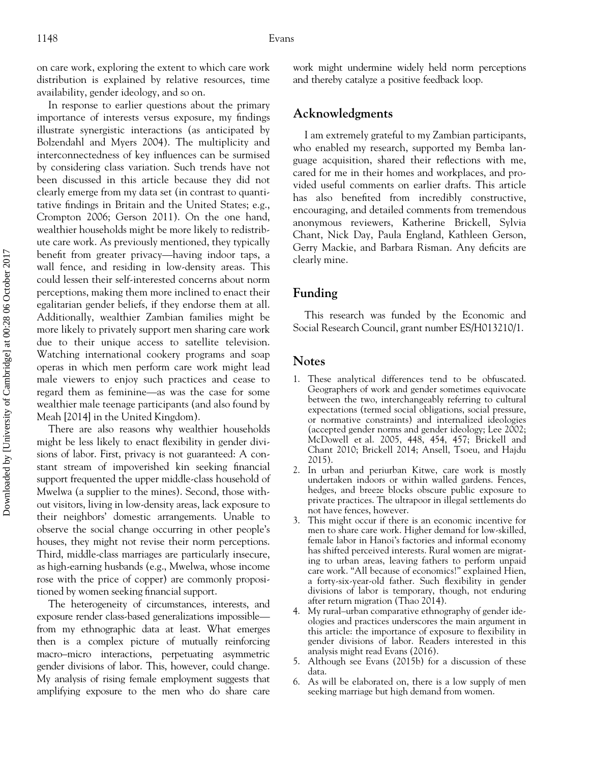on care work, exploring the extent to which care work distribution is explained by relative resources, time availability, gender ideology, and so on.

In response to earlier questions about the primary importance of interests versus exposure, my findings illustrate synergistic interactions (as anticipated by Bolzendahl and Myers 2004). The multiplicity and interconnectedness of key influences can be surmised by considering class variation. Such trends have not been discussed in this article because they did not clearly emerge from my data set (in contrast to quantitative findings in Britain and the United States; e.g., Crompton 2006; Gerson 2011). On the one hand, wealthier households might be more likely to redistribute care work. As previously mentioned, they typically benefit from greater privacy—having indoor taps, a wall fence, and residing in low-density areas. This could lessen their self-interested concerns about norm perceptions, making them more inclined to enact their egalitarian gender beliefs, if they endorse them at all. Additionally, wealthier Zambian families might be more likely to privately support men sharing care work due to their unique access to satellite television. Watching international cookery programs and soap operas in which men perform care work might lead male viewers to enjoy such practices and cease to regard them as feminine—as was the case for some wealthier male teenage participants (and also found by Meah [2014] in the United Kingdom).

There are also reasons why wealthier households might be less likely to enact flexibility in gender divisions of labor. First, privacy is not guaranteed: A constant stream of impoverished kin seeking financial support frequented the upper middle-class household of Mwelwa (a supplier to the mines). Second, those without visitors, living in low-density areas, lack exposure to their neighbors' domestic arrangements. Unable to observe the social change occurring in other people's houses, they might not revise their norm perceptions. Third, middle-class marriages are particularly insecure, as high-earning husbands (e.g., Mwelwa, whose income rose with the price of copper) are commonly propositioned by women seeking financial support.

The heterogeneity of circumstances, interests, and exposure render class-based generalizations impossible from my ethnographic data at least. What emerges then is a complex picture of mutually reinforcing macro–micro interactions, perpetuating asymmetric gender divisions of labor. This, however, could change. My analysis of rising female employment suggests that amplifying exposure to the men who do share care work might undermine widely held norm perceptions and thereby catalyze a positive feedback loop.

#### Acknowledgments

I am extremely grateful to my Zambian participants, who enabled my research, supported my Bemba language acquisition, shared their reflections with me, cared for me in their homes and workplaces, and provided useful comments on earlier drafts. This article has also benefited from incredibly constructive, encouraging, and detailed comments from tremendous anonymous reviewers, Katherine Brickell, Sylvia Chant, Nick Day, Paula England, Kathleen Gerson, Gerry Mackie, and Barbara Risman. Any deficits are clearly mine.

#### Funding

This research was funded by the Economic and Social Research Council, grant number ES/H013210/1.

#### Notes

- 1. These analytical differences tend to be obfuscated. Geographers of work and gender sometimes equivocate between the two, interchangeably referring to cultural expectations (termed social obligations, social pressure, or normative constraints) and internalized ideologies (accepted gender norms and gender ideology; Lee 2002; McDowell et al. 2005, 448, 454, 457; Brickell and Chant 2010; Brickell 2014; Ansell, Tsoeu, and Hajdu 2015).
- 2. In urban and periurban Kitwe, care work is mostly undertaken indoors or within walled gardens. Fences, hedges, and breeze blocks obscure public exposure to private practices. The ultrapoor in illegal settlements do not have fences, however.
- 3. This might occur if there is an economic incentive for men to share care work. Higher demand for low-skilled, female labor in Hanoi's factories and informal economy has shifted perceived interests. Rural women are migrating to urban areas, leaving fathers to perform unpaid care work. "All because of economics!" explained Hien, a forty-six-year-old father. Such flexibility in gender divisions of labor is temporary, though, not enduring after return migration (Thao 2014).
- 4. My rural–urban comparative ethnography of gender ideologies and practices underscores the main argument in this article: the importance of exposure to flexibility in gender divisions of labor. Readers interested in this analysis might read Evans (2016).
- 5. Although see Evans (2015b) for a discussion of these data.
- 6. As will be elaborated on, there is a low supply of men seeking marriage but high demand from women.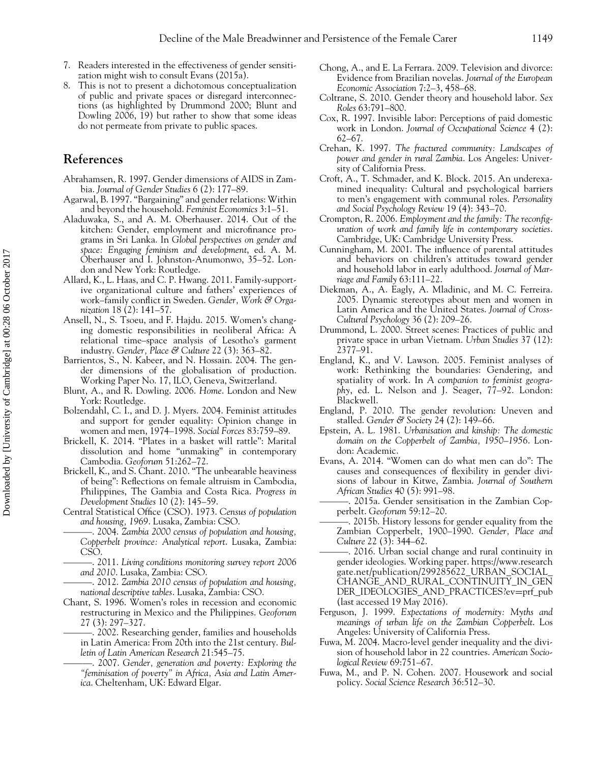- 7. Readers interested in the effectiveness of gender sensitization might wish to consult Evans (2015a).
- 8. This is not to present a dichotomous conceptualization of public and private spaces or disregard interconnections (as highlighted by Drummond 2000; Blunt and Dowling 2006, 19) but rather to show that some ideas do not permeate from private to public spaces.

#### References

- Abrahamsen, R. 1997. Gender dimensions of AIDS in Zambia. Journal of Gender Studies 6 (2): 177–89.
- Agarwal, B. 1997. "Bargaining" and gender relations: Within and beyond the household. Feminist Economics 3:1–51.
- Aladuwaka, S., and A. M. Oberhauser. 2014. Out of the kitchen: Gender, employment and microfinance programs in Sri Lanka. In Global perspectives on gender and space: Engaging feminism and development, ed. A. M. Oberhauser and I. Johnston-Anumonwo, 35–52. London and New York: Routledge.
- Allard, K., L. Haas, and C. P. Hwang. 2011. Family-supportive organizational culture and fathers' experiences of work–family conflict in Sweden. Gender, Work & Organization 18 (2): 141–57.
- Ansell, N., S. Tsoeu, and F. Hajdu. 2015. Women's changing domestic responsibilities in neoliberal Africa: A relational time–space analysis of Lesotho's garment industry. Gender, Place & Culture 22 (3): 363–82.
- Barrientos, S., N. Kabeer, and N. Hossain. 2004. The gender dimensions of the globalisation of production. Working Paper No. 17, ILO, Geneva, Switzerland.
- Blunt, A., and R. Dowling. 2006. Home. London and New York: Routledge.
- Bolzendahl, C. I., and D. J. Myers. 2004. Feminist attitudes and support for gender equality: Opinion change in women and men, 1974–1998. Social Forces 83:759–89.
- Brickell, K. 2014. "Plates in a basket will rattle": Marital dissolution and home "unmaking" in contemporary Cambodia. Geoforum 51:262–72.
- Brickell, K., and S. Chant. 2010. "The unbearable heaviness of being": Reflections on female altruism in Cambodia, Philippines, The Gambia and Costa Rica. Progress in Development Studies 10 (2): 145–59.
- Central Statistical Office (CSO). 1973. Census of population and housing, 1969. Lusaka, Zambia: CSO.
	- ———. 2004. Zambia 2000 census of population and housing, Copperbelt province: Analytical report. Lusaka, Zambia: CSO.
	- ———. 2011. Living conditions monitoring survey report 2006 and 2010. Lusaka, Zambia: CSO.
	- -. 2012. Zambia 2010 census of population and housing, national descriptive tables. Lusaka, Zambia: CSO.
- Chant, S. 1996. Women's roles in recession and economic restructuring in Mexico and the Philippines. Geoforum 27 (3): 297–327.
	- ———. 2002. Researching gender, families and households in Latin America: From 20th into the 21st century. Bulletin of Latin American Research 21:545–75.
	- ———. 2007. Gender, generation and poverty: Exploring the "feminisation of poverty" in Africa, Asia and Latin America. Cheltenham, UK: Edward Elgar.
- Chong, A., and E. La Ferrara. 2009. Television and divorce: Evidence from Brazilian novelas. Journal of the European Economic Association 7:2–3, 458–68.
- Coltrane, S. 2010. Gender theory and household labor. Sex Roles 63:791–800.
- Cox, R. 1997. Invisible labor: Perceptions of paid domestic work in London. Journal of Occupational Science 4 (2): 62–67.
- Crehan, K. 1997. The fractured community: Landscapes of power and gender in rural Zambia. Los Angeles: University of California Press.
- Croft, A., T. Schmader, and K. Block. 2015. An underexamined inequality: Cultural and psychological barriers to men's engagement with communal roles. Personality and Social Psychology Review 19 (4): 343–70.
- Crompton, R. 2006. Employment and the family: The reconfiguration of work and family life in contemporary societies. Cambridge, UK: Cambridge University Press.
- Cunningham, M. 2001. The influence of parental attitudes and behaviors on children's attitudes toward gender and household labor in early adulthood. Journal of Marriage and Family 63:111–22.
- Diekman, A., A. Eagly, A. Mladinic, and M. C. Ferreira. 2005. Dynamic stereotypes about men and women in Latin America and the United States. Journal of Cross-Cultural Psychology 36 (2): 209–26.
- Drummond, L. 2000. Street scenes: Practices of public and private space in urban Vietnam. Urban Studies 37 (12): 2377–91.
- England, K., and V. Lawson. 2005. Feminist analyses of work: Rethinking the boundaries: Gendering, and spatiality of work. In A companion to feminist geography, ed. L. Nelson and J. Seager, 77–92. London: Blackwell.
- England, P. 2010. The gender revolution: Uneven and stalled. Gender & Society 24 (2): 149-66.
- Epstein, A. L. 1981. Urbanisation and kinship: The domestic domain on the Copperbelt of Zambia, 1950–1956. London: Academic.
- Evans, A. 2014. "Women can do what men can do": The causes and consequences of flexibility in gender divisions of labour in Kitwe, Zambia. Journal of Southern African Studies 40 (5): 991–98.
- ———. 2015a. Gender sensitisation in the Zambian Copperbelt. Geoforum 59:12–20.
- 2015b. History lessons for gender equality from the Zambian Copperbelt, 1900–1990. Gender, Place and Culture 22 (3): 344–62.
- . 2016. Urban social change and rural continuity in gender ideologies. Working paper. [https://www.research](https://www.researchgate.net/publication/299285622_URBAN_SOCIAL_CHANGE_AND_RURAL_CONTINUITY_IN_GENDER_IDEOLOGIES_AND_PRACTICES?ev=prf_pub) [gate.net/publication/299285622\\_URBAN\\_SOCIAL\\_](https://www.researchgate.net/publication/299285622_URBAN_SOCIAL_CHANGE_AND_RURAL_CONTINUITY_IN_GENDER_IDEOLOGIES_AND_PRACTICES?ev=prf_pub) [CHANGE\\_AND\\_RURAL\\_CONTINUITY\\_IN\\_GEN](https://www.researchgate.net/publication/299285622_URBAN_SOCIAL_CHANGE_AND_RURAL_CONTINUITY_IN_GENDER_IDEOLOGIES_AND_PRACTICES?ev=prf_pub) [DER\\_IDEOLOGIES\\_AND\\_PRACTICES?ev](https://www.researchgate.net/publication/299285622_URBAN_SOCIAL_CHANGE_AND_RURAL_CONTINUITY_IN_GENDER_IDEOLOGIES_AND_PRACTICES?ev=prf_pub)=[prf\\_pub](https://www.researchgate.net/publication/299285622_URBAN_SOCIAL_CHANGE_AND_RURAL_CONTINUITY_IN_GENDER_IDEOLOGIES_AND_PRACTICES?ev=prf_pub) (last accessed 19 May 2016).
- Ferguson, J. 1999. Expectations of modernity: Myths and meanings of urban life on the Zambian Copperbelt. Los Angeles: University of California Press.
- Fuwa, M. 2004. Macro-level gender inequality and the division of household labor in 22 countries. American Sociological Review 69:751–67.
- Fuwa, M., and P. N. Cohen. 2007. Housework and social policy. Social Science Research 36:512–30.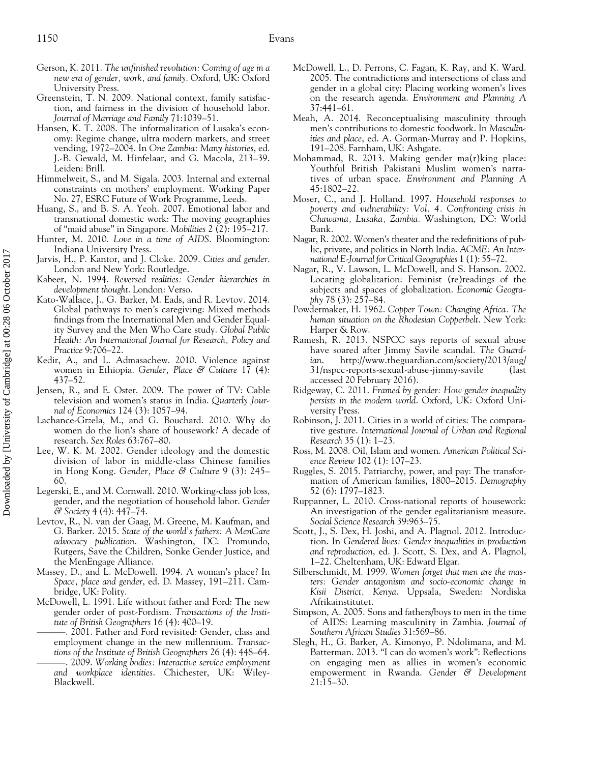- Gerson, K. 2011. The unfinished revolution: Coming of age in a new era of gender, work, and family. Oxford, UK: Oxford University Press.
- Greenstein, T. N. 2009. National context, family satisfaction, and fairness in the division of household labor. Journal of Marriage and Family 71:1039–51.
- Hansen, K. T. 2008. The informalization of Lusaka's economy: Regime change, ultra modern markets, and street vending, 1972–2004. In One Zambia: Many histories, ed. J.-B. Gewald, M. Hinfelaar, and G. Macola, 213–39. Leiden: Brill.
- Himmelweit, S., and M. Sigala. 2003. Internal and external constraints on mothers' employment. Working Paper No. 27, ESRC Future of Work Programme, Leeds.
- Huang, S., and B. S. A. Yeoh. 2007. Emotional labor and transnational domestic work: The moving geographies of "maid abuse" in Singapore. Mobilities 2 (2): 195–217.
- Hunter, M. 2010. Love in a time of AIDS. Bloomington: Indiana University Press.
- Jarvis, H., P. Kantor, and J. Cloke. 2009. Cities and gender. London and New York: Routledge.
- Kabeer, N. 1994. Reversed realities: Gender hierarchies in development thought. London: Verso.
- Kato-Wallace, J., G. Barker, M. Eads, and R. Levtov. 2014. Global pathways to men's caregiving: Mixed methods findings from the International Men and Gender Equality Survey and the Men Who Care study. Global Public Health: An International Journal for Research, Policy and Practice 9:706–22.
- Kedir, A., and L. Admasachew. 2010. Violence against women in Ethiopia. Gender, Place & Culture 17 (4): 437–52.
- Jensen, R., and E. Oster. 2009. The power of TV: Cable television and women's status in India. Quarterly Journal of Economics 124 (3): 1057–94.
- Lachance-Grzela, M., and G. Bouchard. 2010. Why do women do the lion's share of housework? A decade of research. Sex Roles 63:767–80.
- Lee, W. K. M. 2002. Gender ideology and the domestic division of labor in middle-class Chinese families in Hong Kong. Gender, Place & Culture 9 (3): 245– 60.
- Legerski, E., and M. Cornwall. 2010. Working-class job loss, gender, and the negotiation of household labor. Gender & Society 4 (4): 447–74.
- Levtov, R., N. van der Gaag, M. Greene, M. Kaufman, and G. Barker. 2015. State of the world's fathers: A MenCare advocacy publication. Washington, DC: Promundo, Rutgers, Save the Children, Sonke Gender Justice, and the MenEngage Alliance.
- Massey, D., and L. McDowell. 1994. A woman's place? In Space, place and gender, ed. D. Massey, 191–211. Cambridge, UK: Polity.
- McDowell, L. 1991. Life without father and Ford: The new gender order of post-Fordism. Transactions of the Institute of British Geographers 16 (4): 400–19.
	- ———. 2001. Father and Ford revisited: Gender, class and employment change in the new millennium. Transactions of the Institute of British Geographers 26 (4): 448–64.
	- ———. 2009. Working bodies: Interactive service employment and workplace identities. Chichester, UK: Wiley-Blackwell.
- McDowell, L., D. Perrons, C. Fagan, K. Ray, and K. Ward. 2005. The contradictions and intersections of class and gender in a global city: Placing working women's lives on the research agenda. Environment and Planning A 37:441–61.
- Meah, A. 2014. Reconceptualising masculinity through men's contributions to domestic foodwork. In Masculinities and place, ed. A. Gorman-Murray and P. Hopkins, 191–208. Farnham, UK: Ashgate.
- Mohammad, R. 2013. Making gender ma(r)king place: Youthful British Pakistani Muslim women's narratives of urban space. Environment and Planning A 45:1802–22.
- Moser, C., and J. Holland. 1997. Household responses to poverty and vulnerability: Vol. 4. Confronting crisis in Chawama, Lusaka, Zambia. Washington, DC: World Bank.
- Nagar, R. 2002. Women's theater and the redefinitions of public, private, and politics in North India. ACME: An International E-Journal for Critical Geographies 1 (1): 55–72.
- Nagar, R., V. Lawson, L. McDowell, and S. Hanson. 2002. Locating globalization: Feminist (re)readings of the subjects and spaces of globalization. Economic Geography 78 (3): 257–84.
- Powdermaker, H. 1962. Copper Town: Changing Africa. The human situation on the Rhodesian Copperbelt. New York: Harper & Row.
- Ramesh, R. 2013. NSPCC says reports of sexual abuse have soared after Jimmy Savile scandal. The Guardian. [http://www.theguardian.com/society/2013/aug/](http://www.theguardian.com/society/2013/aug/31/nspcc-reports-sexual-abuse-jimmy-savile) [31/nspcc-reports-sexual-abuse-jimmy-savile](http://www.theguardian.com/society/2013/aug/31/nspcc-reports-sexual-abuse-jimmy-savile) (last accessed 20 February 2016).
- Ridgeway, C. 2011. Framed by gender: How gender inequality persists in the modern world. Oxford, UK: Oxford University Press.
- Robinson, J. 2011. Cities in a world of cities: The comparative gesture. International Journal of Urban and Regional Research 35 (1): 1–23.
- Ross, M. 2008. Oil, Islam and women. American Political Science Review 102 (1): 107–23.
- Ruggles, S. 2015. Patriarchy, power, and pay: The transformation of American families, 1800–2015. Demography 52 (6): 1797–1823.
- Ruppanner, L. 2010. Cross-national reports of housework: An investigation of the gender egalitarianism measure. Social Science Research 39:963–75.
- Scott, J., S. Dex, H. Joshi, and A. Plagnol. 2012. Introduction. In Gendered lives: Gender inequalities in production and reproduction, ed. J. Scott, S. Dex, and A. Plagnol, 1–22. Cheltenham, UK: Edward Elgar.
- Silberschmidt, M. 1999. Women forget that men are the masters: Gender antagonism and socio-economic change in Kisii District, Kenya. Uppsala, Sweden: Nordiska Afrikainstitutet.
- Simpson, A. 2005. Sons and fathers/boys to men in the time of AIDS: Learning masculinity in Zambia. Journal of Southern African Studies 31:569–86.
- Slegh, H., G. Barker, A. Kimonyo, P. Ndolimana, and M. Batterman. 2013. "I can do women's work": Reflections on engaging men as allies in women's economic empowerment in Rwanda. Gender & Development 21:15–30.